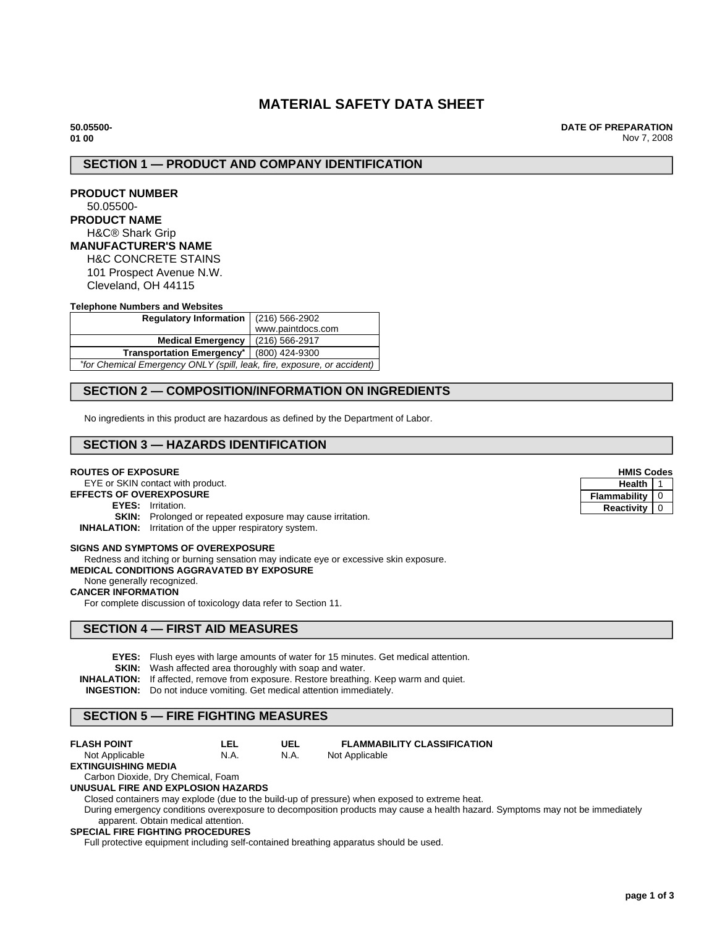# **MATERIAL SAFETY DATA SHEET**

**50.05500- 01 00**

**DATE OF PREPARATION** Nov 7, 2008

# **SECTION 1 — PRODUCT AND COMPANY IDENTIFICATION**

| <b>PRODUCT NUMBER</b> |  |
|-----------------------|--|
| 50.05500-             |  |

# **PRODUCT NAME**

# H&C® Shark Grip

**MANUFACTURER'S NAME**

H&C CONCRETE STAINS 101 Prospect Avenue N.W. Cleveland, OH 44115

#### **Telephone Numbers and Websites**

| Regulatory Information $(216)$ 566-2902                                 |  |                                                        |
|-------------------------------------------------------------------------|--|--------------------------------------------------------|
|                                                                         |  | www.paintdocs.com                                      |
|                                                                         |  | Medical Emergency   (216) 566-2917                     |
|                                                                         |  | Transportation Emergency <sup>*</sup>   (800) 424-9300 |
| *for Chemical Emergency ONLY (spill, leak, fire, exposure, or accident) |  |                                                        |

# **SECTION 2 — COMPOSITION/INFORMATION ON INGREDIENTS**

No ingredients in this product are hazardous as defined by the Department of Labor.

# **SECTION 3 — HAZARDS IDENTIFICATION**

#### **ROUTES OF EXPOSURE**

EYE or SKIN contact with product.

**EFFECTS OF OVEREXPOSURE**

**EYES:** Irritation.

**SKIN:** Prolonged or repeated exposure may cause irritation.

**INHALATION:** Irritation of the upper respiratory system.

#### **SIGNS AND SYMPTOMS OF OVEREXPOSURE**

Redness and itching or burning sensation may indicate eye or excessive skin exposure.

# **MEDICAL CONDITIONS AGGRAVATED BY EXPOSURE**

None generally recognized.

#### **CANCER INFORMATION**

For complete discussion of toxicology data refer to Section 11.

## **SECTION 4 — FIRST AID MEASURES**

**EYES:** Flush eyes with large amounts of water for 15 minutes. Get medical attention.

**UEL** N.A.

**SKIN:** Wash affected area thoroughly with soap and water.

**LEL** N.A.

**INHALATION:** If affected, remove from exposure. Restore breathing. Keep warm and quiet.

**INGESTION:** Do not induce vomiting. Get medical attention immediately.

# **SECTION 5 — FIRE FIGHTING MEASURES**

**FLASH POINT**

**FLAMMABILITY CLASSIFICATION** Not Applicable

Not Applicable **EXTINGUISHING MEDIA**

Carbon Dioxide, Dry Chemical, Foam **UNUSUAL FIRE AND EXPLOSION HAZARDS**

Closed containers may explode (due to the build-up of pressure) when exposed to extreme heat.

During emergency conditions overexposure to decomposition products may cause a health hazard. Symptoms may not be immediately apparent. Obtain medical attention.

## **SPECIAL FIRE FIGHTING PROCEDURES**

Full protective equipment including self-contained breathing apparatus should be used.

| <b>HMIS Codes</b> |  |  |
|-------------------|--|--|
| <b>Health</b>     |  |  |
| Flammability      |  |  |
| Reactivity        |  |  |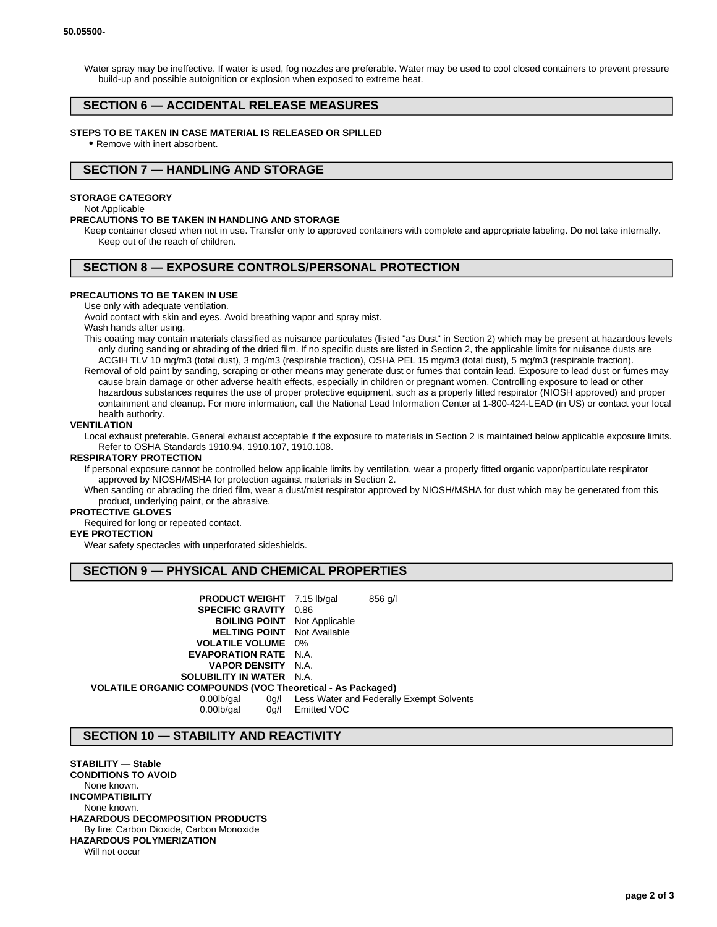Water spray may be ineffective. If water is used, fog nozzles are preferable. Water may be used to cool closed containers to prevent pressure build-up and possible autoignition or explosion when exposed to extreme heat.

## **SECTION 6 — ACCIDENTAL RELEASE MEASURES**

#### **STEPS TO BE TAKEN IN CASE MATERIAL IS RELEASED OR SPILLED**

• Remove with inert absorbent.

## **SECTION 7 — HANDLING AND STORAGE**

#### **STORAGE CATEGORY**

#### Not Applicable

#### **PRECAUTIONS TO BE TAKEN IN HANDLING AND STORAGE**

Keep container closed when not in use. Transfer only to approved containers with complete and appropriate labeling. Do not take internally. Keep out of the reach of children.

# **SECTION 8 — EXPOSURE CONTROLS/PERSONAL PROTECTION**

#### **PRECAUTIONS TO BE TAKEN IN USE**

Use only with adequate ventilation.

Avoid contact with skin and eyes. Avoid breathing vapor and spray mist.

Wash hands after using.

- This coating may contain materials classified as nuisance particulates (listed "as Dust" in Section 2) which may be present at hazardous levels only during sanding or abrading of the dried film. If no specific dusts are listed in Section 2, the applicable limits for nuisance dusts are ACGIH TLV 10 mg/m3 (total dust), 3 mg/m3 (respirable fraction), OSHA PEL 15 mg/m3 (total dust), 5 mg/m3 (respirable fraction).
- Removal of old paint by sanding, scraping or other means may generate dust or fumes that contain lead. Exposure to lead dust or fumes may cause brain damage or other adverse health effects, especially in children or pregnant women. Controlling exposure to lead or other hazardous substances requires the use of proper protective equipment, such as a properly fitted respirator (NIOSH approved) and proper containment and cleanup. For more information, call the National Lead Information Center at 1-800-424-LEAD (in US) or contact your local health authority.

#### **VENTILATION**

Local exhaust preferable. General exhaust acceptable if the exposure to materials in Section 2 is maintained below applicable exposure limits. Refer to OSHA Standards 1910.94, 1910.107, 1910.108.

## **RESPIRATORY PROTECTION**

If personal exposure cannot be controlled below applicable limits by ventilation, wear a properly fitted organic vapor/particulate respirator approved by NIOSH/MSHA for protection against materials in Section 2.

When sanding or abrading the dried film, wear a dust/mist respirator approved by NIOSH/MSHA for dust which may be generated from this product, underlying paint, or the abrasive.

#### **PROTECTIVE GLOVES**

Required for long or repeated contact.

#### **EYE PROTECTION**

Wear safety spectacles with unperforated sideshields.

## **SECTION 9 — PHYSICAL AND CHEMICAL PROPERTIES**

| <b>PRODUCT WEIGHT</b> 7.15 lb/gal                          | $856$ g/l                                |
|------------------------------------------------------------|------------------------------------------|
| <b>SPECIFIC GRAVITY 0.86</b>                               |                                          |
| <b>BOILING POINT</b> Not Applicable                        |                                          |
| <b>MELTING POINT</b> Not Available                         |                                          |
| <b>VOLATILE VOLUME</b> 0%                                  |                                          |
| <b>EVAPORATION RATE</b> N.A.                               |                                          |
| <b>VAPOR DENSITY N.A.</b>                                  |                                          |
| <b>SOLUBILITY IN WATER N.A.</b>                            |                                          |
| VOLATILE ORGANIC COMPOUNDS (VOC Theoretical - As Packaged) |                                          |
| $0.00$ lb/gal<br>0g/l                                      | Less Water and Federally Exempt Solvents |
| $0.00$ lb/gal<br>0a/l                                      | Emitted VOC                              |

## **SECTION 10 — STABILITY AND REACTIVITY**

**STABILITY — Stable CONDITIONS TO AVOID** None known. **INCOMPATIBILITY** None known. **HAZARDOUS DECOMPOSITION PRODUCTS** By fire: Carbon Dioxide, Carbon Monoxide **HAZARDOUS POLYMERIZATION** Will not occur